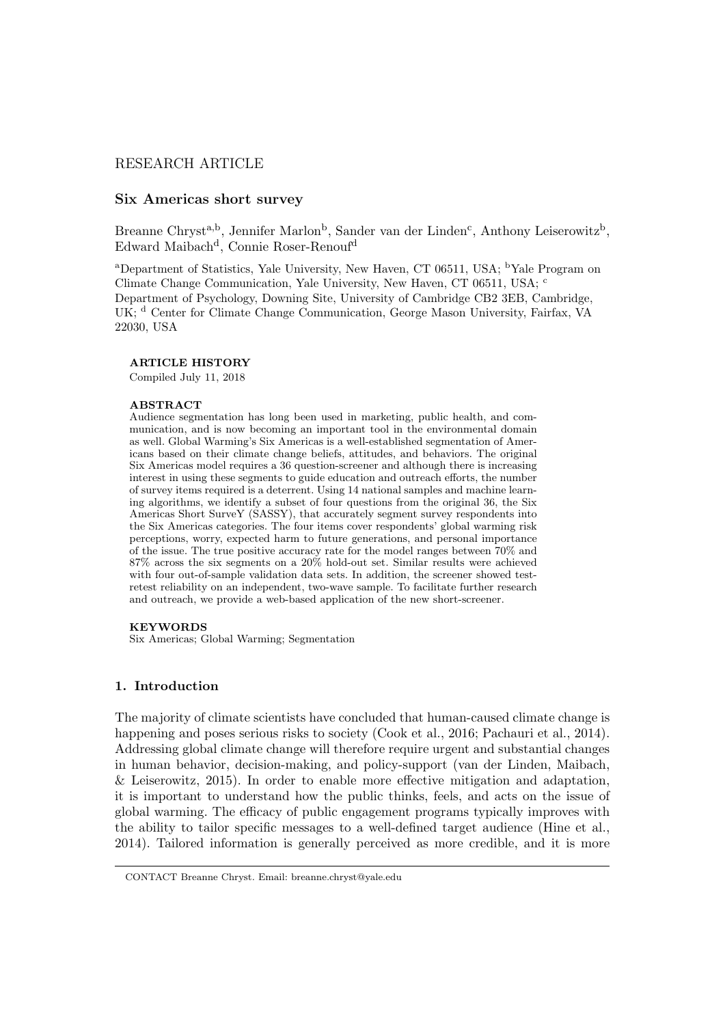# RESEARCH ARTICLE

# Six Americas short survey

Breanne Chryst<sup>a,b</sup>, Jennifer Marlon<sup>b</sup>, Sander van der Linden<sup>c</sup>, Anthony Leiserowitz<sup>b</sup>, Edward Maibach<sup>d</sup>, Connie Roser-Renouf<sup>d</sup>

<sup>a</sup>Department of Statistics, Yale University, New Haven, CT 06511, USA; <sup>b</sup>Yale Program on Climate Change Communication, Yale University, New Haven, CT 06511, USA; <sup>c</sup> Department of Psychology, Downing Site, University of Cambridge CB2 3EB, Cambridge, UK; <sup>d</sup> Center for Climate Change Communication, George Mason University, Fairfax, VA 22030, USA

#### ARTICLE HISTORY

Compiled July 11, 2018

#### ABSTRACT

Audience segmentation has long been used in marketing, public health, and communication, and is now becoming an important tool in the environmental domain as well. Global Warming's Six Americas is a well-established segmentation of Americans based on their climate change beliefs, attitudes, and behaviors. The original Six Americas model requires a 36 question-screener and although there is increasing interest in using these segments to guide education and outreach efforts, the number of survey items required is a deterrent. Using 14 national samples and machine learning algorithms, we identify a subset of four questions from the original 36, the Six Americas Short SurveY (SASSY), that accurately segment survey respondents into the Six Americas categories. The four items cover respondents' global warming risk perceptions, worry, expected harm to future generations, and personal importance of the issue. The true positive accuracy rate for the model ranges between 70% and 87% across the six segments on a 20% hold-out set. Similar results were achieved with four out-of-sample validation data sets. In addition, the screener showed testretest reliability on an independent, two-wave sample. To facilitate further research and outreach, we provide a web-based application of the new short-screener.

### KEYWORDS

Six Americas; Global Warming; Segmentation

## 1. Introduction

The majority of climate scientists have concluded that human-caused climate change is happening and poses serious risks to society (Cook et al., 2016; Pachauri et al., 2014). Addressing global climate change will therefore require urgent and substantial changes in human behavior, decision-making, and policy-support (van der Linden, Maibach, & Leiserowitz, 2015). In order to enable more effective mitigation and adaptation, it is important to understand how the public thinks, feels, and acts on the issue of global warming. The efficacy of public engagement programs typically improves with the ability to tailor specific messages to a well-defined target audience (Hine et al., 2014). Tailored information is generally perceived as more credible, and it is more

CONTACT Breanne Chryst. Email: breanne.chryst@yale.edu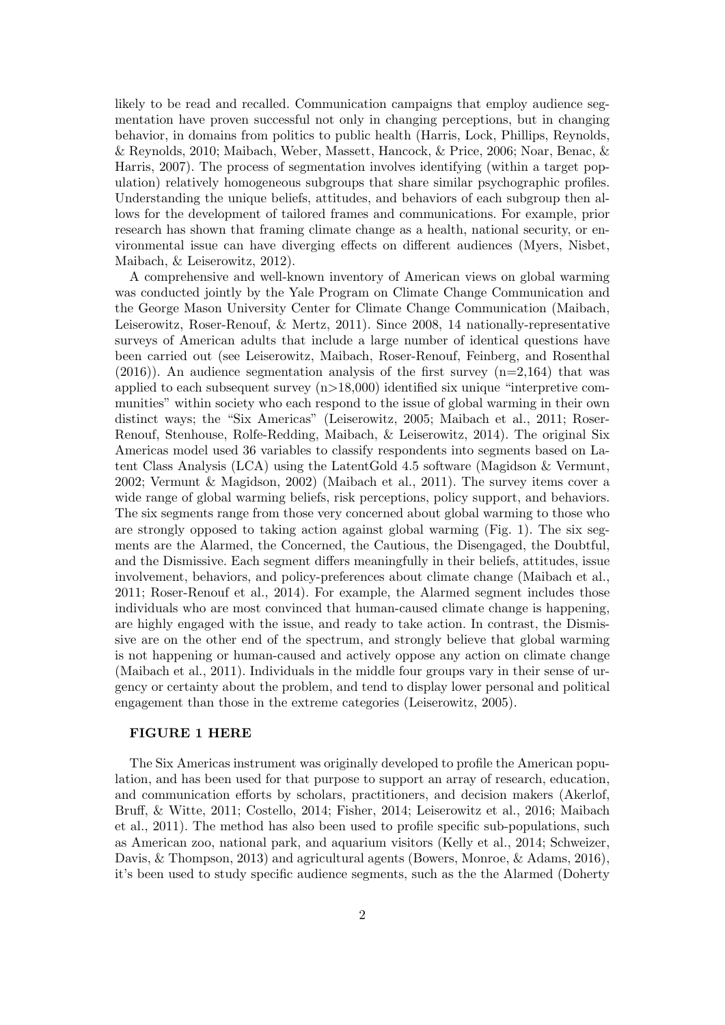likely to be read and recalled. Communication campaigns that employ audience segmentation have proven successful not only in changing perceptions, but in changing behavior, in domains from politics to public health (Harris, Lock, Phillips, Reynolds, & Reynolds, 2010; Maibach, Weber, Massett, Hancock, & Price, 2006; Noar, Benac, & Harris, 2007). The process of segmentation involves identifying (within a target population) relatively homogeneous subgroups that share similar psychographic profiles. Understanding the unique beliefs, attitudes, and behaviors of each subgroup then allows for the development of tailored frames and communications. For example, prior research has shown that framing climate change as a health, national security, or environmental issue can have diverging effects on different audiences (Myers, Nisbet, Maibach, & Leiserowitz, 2012).

A comprehensive and well-known inventory of American views on global warming was conducted jointly by the Yale Program on Climate Change Communication and the George Mason University Center for Climate Change Communication (Maibach, Leiserowitz, Roser-Renouf, & Mertz, 2011). Since 2008, 14 nationally-representative surveys of American adults that include a large number of identical questions have been carried out (see Leiserowitz, Maibach, Roser-Renouf, Feinberg, and Rosenthal  $(2016)$ ). An audience segmentation analysis of the first survey  $(n=2,164)$  that was applied to each subsequent survey  $(n>18,000)$  identified six unique "interpretive communities" within society who each respond to the issue of global warming in their own distinct ways; the "Six Americas" (Leiserowitz, 2005; Maibach et al., 2011; Roser-Renouf, Stenhouse, Rolfe-Redding, Maibach, & Leiserowitz, 2014). The original Six Americas model used 36 variables to classify respondents into segments based on Latent Class Analysis (LCA) using the LatentGold 4.5 software (Magidson & Vermunt, 2002; Vermunt & Magidson, 2002) (Maibach et al., 2011). The survey items cover a wide range of global warming beliefs, risk perceptions, policy support, and behaviors. The six segments range from those very concerned about global warming to those who are strongly opposed to taking action against global warming (Fig. 1). The six segments are the Alarmed, the Concerned, the Cautious, the Disengaged, the Doubtful, and the Dismissive. Each segment differs meaningfully in their beliefs, attitudes, issue involvement, behaviors, and policy-preferences about climate change (Maibach et al., 2011; Roser-Renouf et al., 2014). For example, the Alarmed segment includes those individuals who are most convinced that human-caused climate change is happening, are highly engaged with the issue, and ready to take action. In contrast, the Dismissive are on the other end of the spectrum, and strongly believe that global warming is not happening or human-caused and actively oppose any action on climate change (Maibach et al., 2011). Individuals in the middle four groups vary in their sense of urgency or certainty about the problem, and tend to display lower personal and political engagement than those in the extreme categories (Leiserowitz, 2005).

### FIGURE 1 HERE

The Six Americas instrument was originally developed to profile the American population, and has been used for that purpose to support an array of research, education, and communication efforts by scholars, practitioners, and decision makers (Akerlof, Bruff, & Witte, 2011; Costello, 2014; Fisher, 2014; Leiserowitz et al., 2016; Maibach et al., 2011). The method has also been used to profile specific sub-populations, such as American zoo, national park, and aquarium visitors (Kelly et al., 2014; Schweizer, Davis, & Thompson, 2013) and agricultural agents (Bowers, Monroe, & Adams, 2016), it's been used to study specific audience segments, such as the the Alarmed (Doherty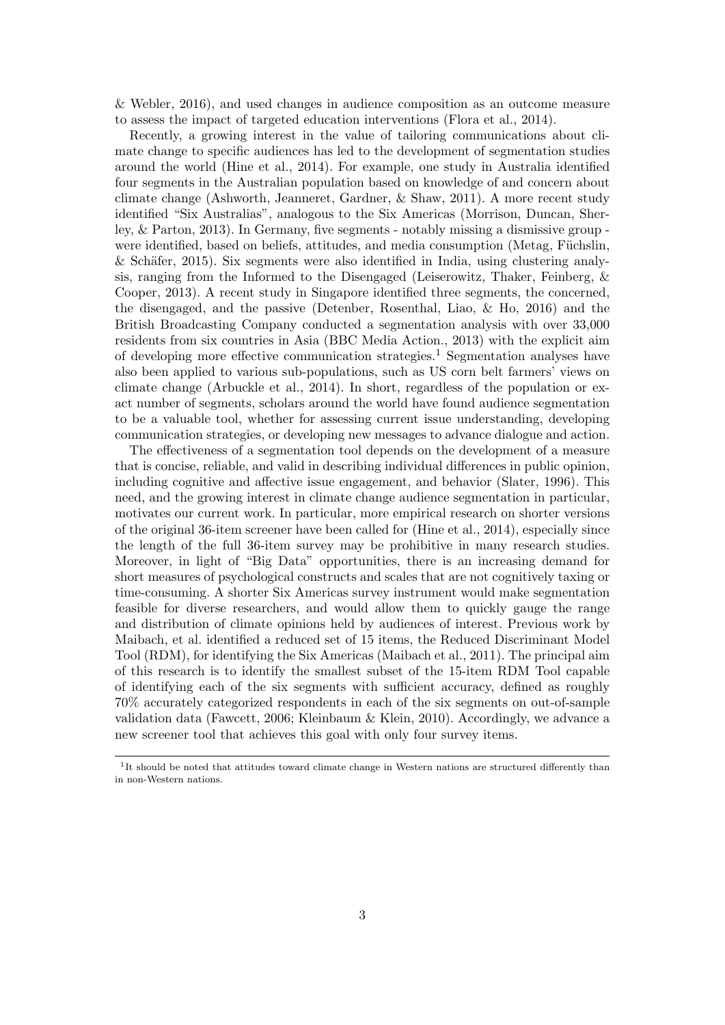& Webler, 2016), and used changes in audience composition as an outcome measure to assess the impact of targeted education interventions (Flora et al., 2014).

Recently, a growing interest in the value of tailoring communications about climate change to specific audiences has led to the development of segmentation studies around the world (Hine et al., 2014). For example, one study in Australia identified four segments in the Australian population based on knowledge of and concern about climate change (Ashworth, Jeanneret, Gardner, & Shaw, 2011). A more recent study identified "Six Australias", analogous to the Six Americas (Morrison, Duncan, Sherley, & Parton, 2013). In Germany, five segments - notably missing a dismissive group were identified, based on beliefs, attitudes, and media consumption (Metag, Füchslin,  $\&$  Schäfer, 2015). Six segments were also identified in India, using clustering analysis, ranging from the Informed to the Disengaged (Leiserowitz, Thaker, Feinberg, & Cooper, 2013). A recent study in Singapore identified three segments, the concerned, the disengaged, and the passive (Detenber, Rosenthal, Liao, & Ho, 2016) and the British Broadcasting Company conducted a segmentation analysis with over 33,000 residents from six countries in Asia (BBC Media Action., 2013) with the explicit aim of developing more effective communication strategies.<sup>1</sup> Segmentation analyses have also been applied to various sub-populations, such as US corn belt farmers' views on climate change (Arbuckle et al., 2014). In short, regardless of the population or exact number of segments, scholars around the world have found audience segmentation to be a valuable tool, whether for assessing current issue understanding, developing communication strategies, or developing new messages to advance dialogue and action.

The effectiveness of a segmentation tool depends on the development of a measure that is concise, reliable, and valid in describing individual differences in public opinion, including cognitive and affective issue engagement, and behavior (Slater, 1996). This need, and the growing interest in climate change audience segmentation in particular, motivates our current work. In particular, more empirical research on shorter versions of the original 36-item screener have been called for (Hine et al., 2014), especially since the length of the full 36-item survey may be prohibitive in many research studies. Moreover, in light of "Big Data" opportunities, there is an increasing demand for short measures of psychological constructs and scales that are not cognitively taxing or time-consuming. A shorter Six Americas survey instrument would make segmentation feasible for diverse researchers, and would allow them to quickly gauge the range and distribution of climate opinions held by audiences of interest. Previous work by Maibach, et al. identified a reduced set of 15 items, the Reduced Discriminant Model Tool (RDM), for identifying the Six Americas (Maibach et al., 2011). The principal aim of this research is to identify the smallest subset of the 15-item RDM Tool capable of identifying each of the six segments with sufficient accuracy, defined as roughly 70% accurately categorized respondents in each of the six segments on out-of-sample validation data (Fawcett, 2006; Kleinbaum & Klein, 2010). Accordingly, we advance a new screener tool that achieves this goal with only four survey items.

<sup>&</sup>lt;sup>1</sup>It should be noted that attitudes toward climate change in Western nations are structured differently than in non-Western nations.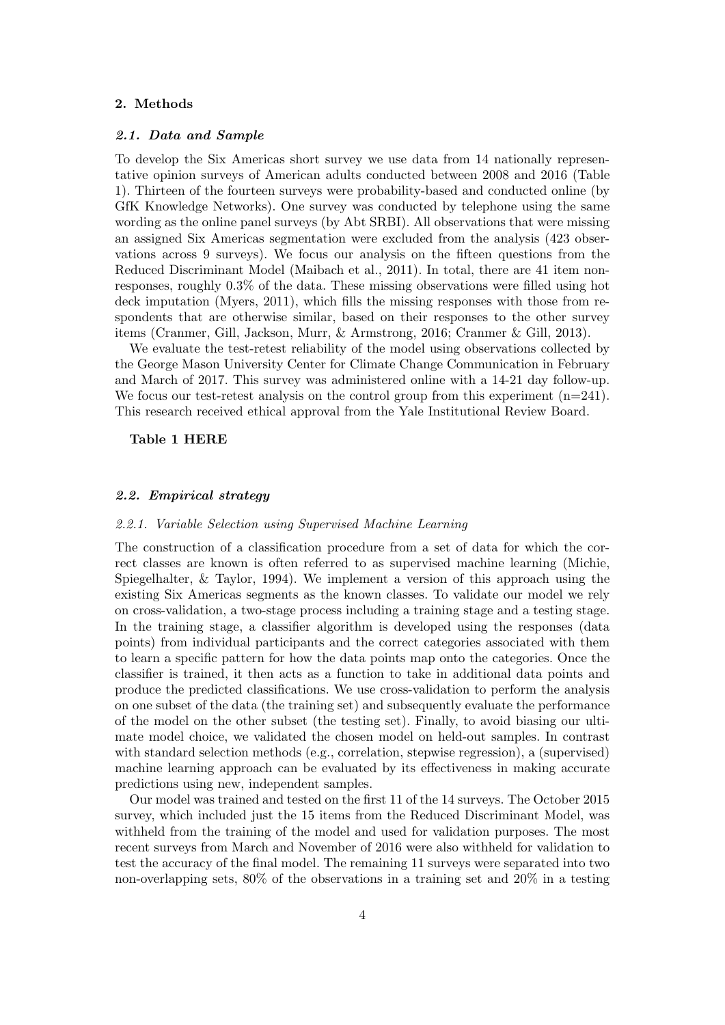# 2. Methods

#### 2.1. Data and Sample

To develop the Six Americas short survey we use data from 14 nationally representative opinion surveys of American adults conducted between 2008 and 2016 (Table 1). Thirteen of the fourteen surveys were probability-based and conducted online (by GfK Knowledge Networks). One survey was conducted by telephone using the same wording as the online panel surveys (by Abt SRBI). All observations that were missing an assigned Six Americas segmentation were excluded from the analysis (423 observations across 9 surveys). We focus our analysis on the fifteen questions from the Reduced Discriminant Model (Maibach et al., 2011). In total, there are 41 item nonresponses, roughly 0.3% of the data. These missing observations were filled using hot deck imputation (Myers, 2011), which fills the missing responses with those from respondents that are otherwise similar, based on their responses to the other survey items (Cranmer, Gill, Jackson, Murr, & Armstrong, 2016; Cranmer & Gill, 2013).

We evaluate the test-retest reliability of the model using observations collected by the George Mason University Center for Climate Change Communication in February and March of 2017. This survey was administered online with a 14-21 day follow-up. We focus our test-retest analysis on the control group from this experiment  $(n=241)$ . This research received ethical approval from the Yale Institutional Review Board.

#### Table 1 HERE

#### 2.2. Empirical strategy

#### 2.2.1. Variable Selection using Supervised Machine Learning

The construction of a classification procedure from a set of data for which the correct classes are known is often referred to as supervised machine learning (Michie, Spiegelhalter, & Taylor, 1994). We implement a version of this approach using the existing Six Americas segments as the known classes. To validate our model we rely on cross-validation, a two-stage process including a training stage and a testing stage. In the training stage, a classifier algorithm is developed using the responses (data points) from individual participants and the correct categories associated with them to learn a specific pattern for how the data points map onto the categories. Once the classifier is trained, it then acts as a function to take in additional data points and produce the predicted classifications. We use cross-validation to perform the analysis on one subset of the data (the training set) and subsequently evaluate the performance of the model on the other subset (the testing set). Finally, to avoid biasing our ultimate model choice, we validated the chosen model on held-out samples. In contrast with standard selection methods (e.g., correlation, stepwise regression), a (supervised) machine learning approach can be evaluated by its effectiveness in making accurate predictions using new, independent samples.

Our model was trained and tested on the first 11 of the 14 surveys. The October 2015 survey, which included just the 15 items from the Reduced Discriminant Model, was withheld from the training of the model and used for validation purposes. The most recent surveys from March and November of 2016 were also withheld for validation to test the accuracy of the final model. The remaining 11 surveys were separated into two non-overlapping sets, 80% of the observations in a training set and 20% in a testing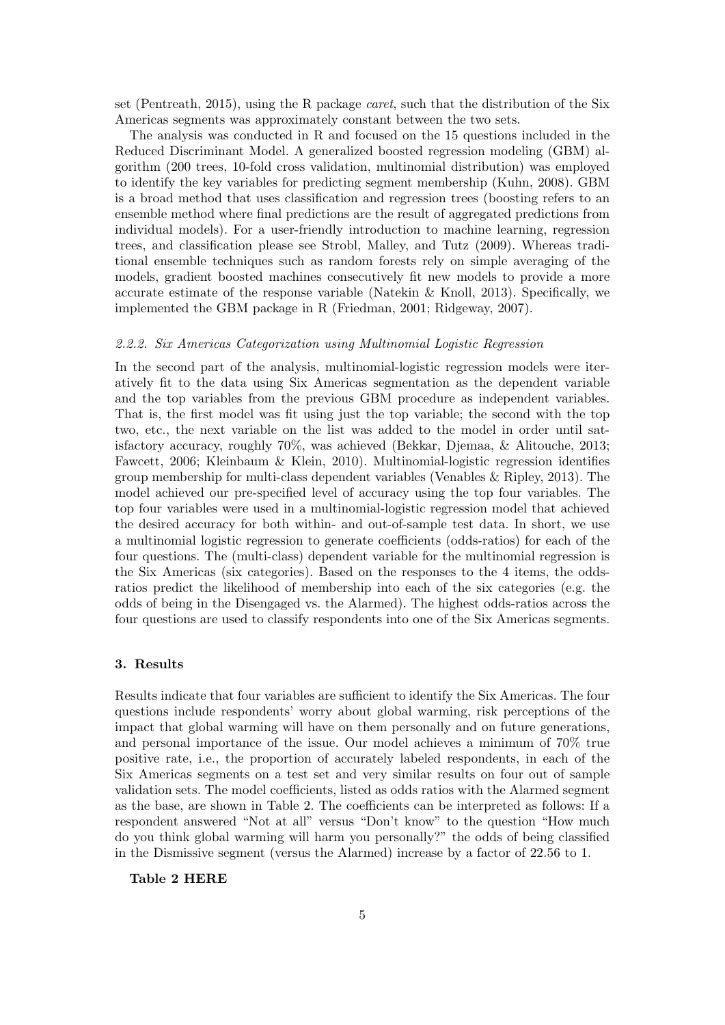set (Pentreath, 2015), using the R package caret, such that the distribution of the Six Americas segments was approximately constant between the two sets.

The analysis was conducted in R and focused on the 15 questions included in the Reduced Discriminant Model. A generalized boosted regression modeling (GBM) algorithm (200 trees, 10-fold cross validation, multinomial distribution) was employed to identify the key variables for predicting segment membership (Kuhn, 2008). GBM is a broad method that uses classification and regression trees (boosting refers to an ensemble method where final predictions are the result of aggregated predictions from individual models). For a user-friendly introduction to machine learning, regression trees, and classification please see Strobl, Malley, and Tutz (2009). Whereas traditional ensemble techniques such as random forests rely on simple averaging of the models, gradient boosted machines consecutively fit new models to provide a more accurate estimate of the response variable (Natekin & Knoll, 2013). Specifically, we implemented the GBM package in R (Friedman, 2001; Ridgeway, 2007).

## 2.2.2. Six Americas Categorization using Multinomial Logistic Regression

In the second part of the analysis, multinomial-logistic regression models were iteratively fit to the data using Six Americas segmentation as the dependent variable and the top variables from the previous GBM procedure as independent variables. That is, the first model was fit using just the top variable; the second with the top two, etc., the next variable on the list was added to the model in order until satisfactory accuracy, roughly 70%, was achieved (Bekkar, Djemaa, & Alitouche, 2013; Fawcett, 2006; Kleinbaum & Klein, 2010). Multinomial-logistic regression identifies group membership for multi-class dependent variables (Venables & Ripley, 2013). The model achieved our pre-specified level of accuracy using the top four variables. The top four variables were used in a multinomial-logistic regression model that achieved the desired accuracy for both within- and out-of-sample test data. In short, we use a multinomial logistic regression to generate coefficients (odds-ratios) for each of the four questions. The (multi-class) dependent variable for the multinomial regression is the Six Americas (six categories). Based on the responses to the 4 items, the oddsratios predict the likelihood of membership into each of the six categories (e.g. the odds of being in the Disengaged vs. the Alarmed). The highest odds-ratios across the four questions are used to classify respondents into one of the Six Americas segments.

# 3. Results

Results indicate that four variables are sufficient to identify the Six Americas. The four questions include respondents' worry about global warming, risk perceptions of the impact that global warming will have on them personally and on future generations, and personal importance of the issue. Our model achieves a minimum of 70% true positive rate, i.e., the proportion of accurately labeled respondents, in each of the Six Americas segments on a test set and very similar results on four out of sample validation sets. The model coefficients, listed as odds ratios with the Alarmed segment as the base, are shown in Table 2. The coefficients can be interpreted as follows: If a respondent answered "Not at all" versus "Don't know" to the question "How much do you think global warming will harm you personally?" the odds of being classified in the Dismissive segment (versus the Alarmed) increase by a factor of 22.56 to 1.

### Table 2 HERE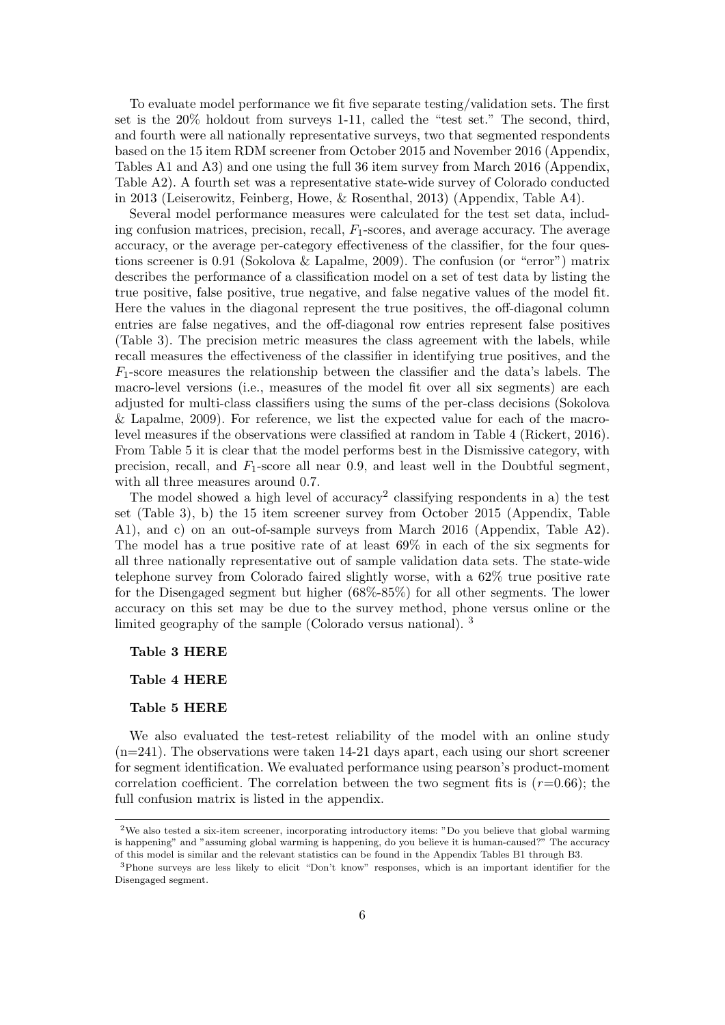To evaluate model performance we fit five separate testing/validation sets. The first set is the 20% holdout from surveys 1-11, called the "test set." The second, third, and fourth were all nationally representative surveys, two that segmented respondents based on the 15 item RDM screener from October 2015 and November 2016 (Appendix, Tables A1 and A3) and one using the full 36 item survey from March 2016 (Appendix, Table A2). A fourth set was a representative state-wide survey of Colorado conducted in 2013 (Leiserowitz, Feinberg, Howe, & Rosenthal, 2013) (Appendix, Table A4).

Several model performance measures were calculated for the test set data, including confusion matrices, precision, recall,  $F_1$ -scores, and average accuracy. The average accuracy, or the average per-category effectiveness of the classifier, for the four questions screener is 0.91 (Sokolova & Lapalme, 2009). The confusion (or "error") matrix describes the performance of a classification model on a set of test data by listing the true positive, false positive, true negative, and false negative values of the model fit. Here the values in the diagonal represent the true positives, the off-diagonal column entries are false negatives, and the off-diagonal row entries represent false positives (Table 3). The precision metric measures the class agreement with the labels, while recall measures the effectiveness of the classifier in identifying true positives, and the  $F_1$ -score measures the relationship between the classifier and the data's labels. The macro-level versions (i.e., measures of the model fit over all six segments) are each adjusted for multi-class classifiers using the sums of the per-class decisions (Sokolova & Lapalme, 2009). For reference, we list the expected value for each of the macrolevel measures if the observations were classified at random in Table 4 (Rickert, 2016). From Table 5 it is clear that the model performs best in the Dismissive category, with precision, recall, and  $F_1$ -score all near 0.9, and least well in the Doubtful segment, with all three measures around 0.7.

The model showed a high level of  $accuracy<sup>2</sup>$  classifying respondents in a) the test set (Table 3), b) the 15 item screener survey from October 2015 (Appendix, Table A1), and c) on an out-of-sample surveys from March 2016 (Appendix, Table A2). The model has a true positive rate of at least 69% in each of the six segments for all three nationally representative out of sample validation data sets. The state-wide telephone survey from Colorado faired slightly worse, with a 62% true positive rate for the Disengaged segment but higher (68%-85%) for all other segments. The lower accuracy on this set may be due to the survey method, phone versus online or the limited geography of the sample (Colorado versus national). <sup>3</sup>

Table 3 HERE

Table 4 HERE

#### Table 5 HERE

We also evaluated the test-retest reliability of the model with an online study (n=241). The observations were taken 14-21 days apart, each using our short screener for segment identification. We evaluated performance using pearson's product-moment correlation coefficient. The correlation between the two segment fits is  $(r=0.66)$ ; the full confusion matrix is listed in the appendix.

<sup>2</sup>We also tested a six-item screener, incorporating introductory items: "Do you believe that global warming is happening" and "assuming global warming is happening, do you believe it is human-caused?" The accuracy of this model is similar and the relevant statistics can be found in the Appendix Tables B1 through B3.

<sup>3</sup>Phone surveys are less likely to elicit "Don't know" responses, which is an important identifier for the Disengaged segment.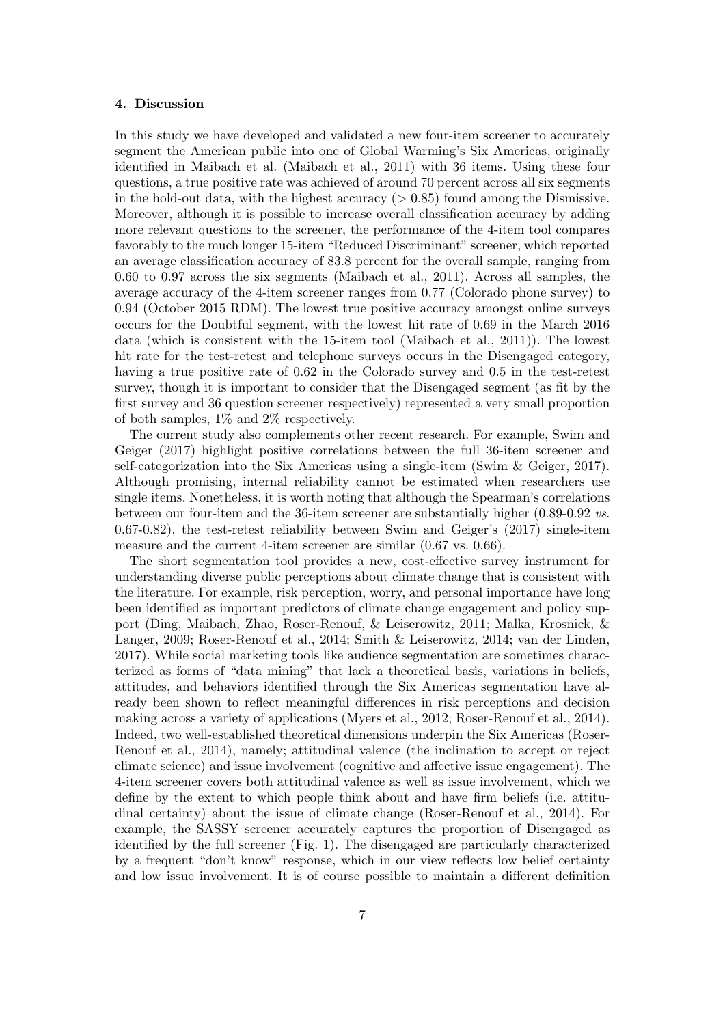## 4. Discussion

In this study we have developed and validated a new four-item screener to accurately segment the American public into one of Global Warming's Six Americas, originally identified in Maibach et al. (Maibach et al., 2011) with 36 items. Using these four questions, a true positive rate was achieved of around 70 percent across all six segments in the hold-out data, with the highest accuracy  $(> 0.85)$  found among the Dismissive. Moreover, although it is possible to increase overall classification accuracy by adding more relevant questions to the screener, the performance of the 4-item tool compares favorably to the much longer 15-item "Reduced Discriminant" screener, which reported an average classification accuracy of 83.8 percent for the overall sample, ranging from 0.60 to 0.97 across the six segments (Maibach et al., 2011). Across all samples, the average accuracy of the 4-item screener ranges from 0.77 (Colorado phone survey) to 0.94 (October 2015 RDM). The lowest true positive accuracy amongst online surveys occurs for the Doubtful segment, with the lowest hit rate of 0.69 in the March 2016 data (which is consistent with the 15-item tool (Maibach et al., 2011)). The lowest hit rate for the test-retest and telephone surveys occurs in the Disengaged category, having a true positive rate of 0.62 in the Colorado survey and 0.5 in the test-retest survey, though it is important to consider that the Disengaged segment (as fit by the first survey and 36 question screener respectively) represented a very small proportion of both samples, 1% and 2% respectively.

The current study also complements other recent research. For example, Swim and Geiger (2017) highlight positive correlations between the full 36-item screener and self-categorization into the Six Americas using a single-item (Swim & Geiger, 2017). Although promising, internal reliability cannot be estimated when researchers use single items. Nonetheless, it is worth noting that although the Spearman's correlations between our four-item and the 36-item screener are substantially higher (0.89-0.92 vs. 0.67-0.82), the test-retest reliability between Swim and Geiger's (2017) single-item measure and the current 4-item screener are similar  $(0.67 \text{ vs. } 0.66)$ .

The short segmentation tool provides a new, cost-effective survey instrument for understanding diverse public perceptions about climate change that is consistent with the literature. For example, risk perception, worry, and personal importance have long been identified as important predictors of climate change engagement and policy support (Ding, Maibach, Zhao, Roser-Renouf, & Leiserowitz, 2011; Malka, Krosnick, & Langer, 2009; Roser-Renouf et al., 2014; Smith & Leiserowitz, 2014; van der Linden, 2017). While social marketing tools like audience segmentation are sometimes characterized as forms of "data mining" that lack a theoretical basis, variations in beliefs, attitudes, and behaviors identified through the Six Americas segmentation have already been shown to reflect meaningful differences in risk perceptions and decision making across a variety of applications (Myers et al., 2012; Roser-Renouf et al., 2014). Indeed, two well-established theoretical dimensions underpin the Six Americas (Roser-Renouf et al., 2014), namely; attitudinal valence (the inclination to accept or reject climate science) and issue involvement (cognitive and affective issue engagement). The 4-item screener covers both attitudinal valence as well as issue involvement, which we define by the extent to which people think about and have firm beliefs (i.e. attitudinal certainty) about the issue of climate change (Roser-Renouf et al., 2014). For example, the SASSY screener accurately captures the proportion of Disengaged as identified by the full screener (Fig. 1). The disengaged are particularly characterized by a frequent "don't know" response, which in our view reflects low belief certainty and low issue involvement. It is of course possible to maintain a different definition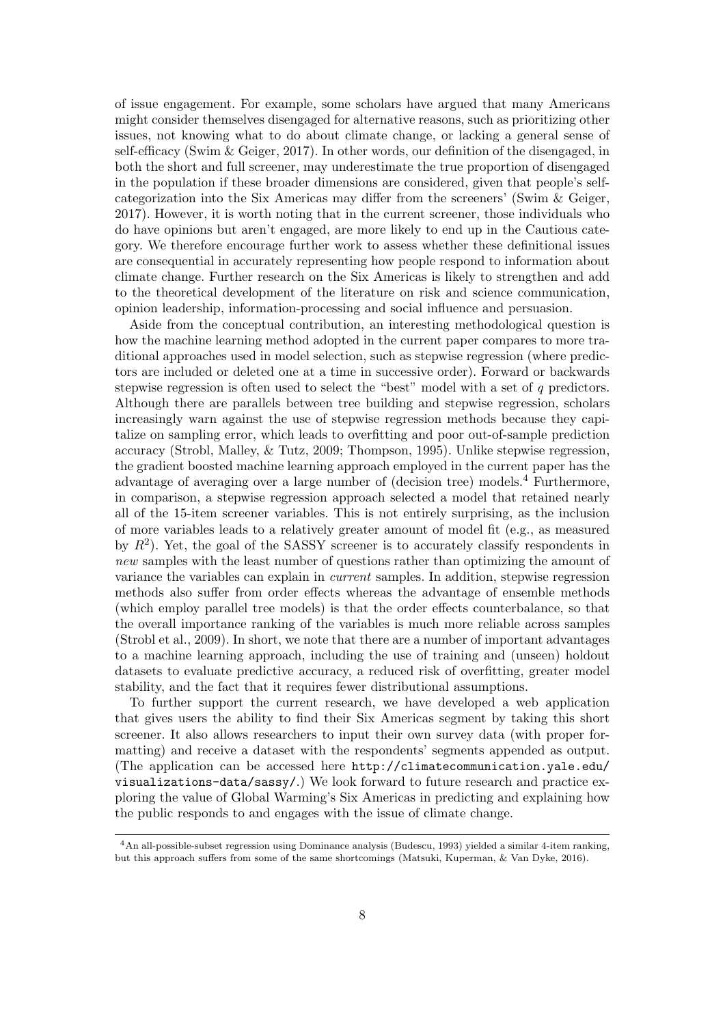of issue engagement. For example, some scholars have argued that many Americans might consider themselves disengaged for alternative reasons, such as prioritizing other issues, not knowing what to do about climate change, or lacking a general sense of self-efficacy (Swim & Geiger, 2017). In other words, our definition of the disengaged, in both the short and full screener, may underestimate the true proportion of disengaged in the population if these broader dimensions are considered, given that people's selfcategorization into the Six Americas may differ from the screeners' (Swim & Geiger, 2017). However, it is worth noting that in the current screener, those individuals who do have opinions but aren't engaged, are more likely to end up in the Cautious category. We therefore encourage further work to assess whether these definitional issues are consequential in accurately representing how people respond to information about climate change. Further research on the Six Americas is likely to strengthen and add to the theoretical development of the literature on risk and science communication, opinion leadership, information-processing and social influence and persuasion.

Aside from the conceptual contribution, an interesting methodological question is how the machine learning method adopted in the current paper compares to more traditional approaches used in model selection, such as stepwise regression (where predictors are included or deleted one at a time in successive order). Forward or backwards stepwise regression is often used to select the "best" model with a set of q predictors. Although there are parallels between tree building and stepwise regression, scholars increasingly warn against the use of stepwise regression methods because they capitalize on sampling error, which leads to overfitting and poor out-of-sample prediction accuracy (Strobl, Malley, & Tutz, 2009; Thompson, 1995). Unlike stepwise regression, the gradient boosted machine learning approach employed in the current paper has the advantage of averaging over a large number of (decision tree) models.<sup>4</sup> Furthermore, in comparison, a stepwise regression approach selected a model that retained nearly all of the 15-item screener variables. This is not entirely surprising, as the inclusion of more variables leads to a relatively greater amount of model fit (e.g., as measured by  $R^2$ ). Yet, the goal of the SASSY screener is to accurately classify respondents in new samples with the least number of questions rather than optimizing the amount of variance the variables can explain in current samples. In addition, stepwise regression methods also suffer from order effects whereas the advantage of ensemble methods (which employ parallel tree models) is that the order effects counterbalance, so that the overall importance ranking of the variables is much more reliable across samples (Strobl et al., 2009). In short, we note that there are a number of important advantages to a machine learning approach, including the use of training and (unseen) holdout datasets to evaluate predictive accuracy, a reduced risk of overfitting, greater model stability, and the fact that it requires fewer distributional assumptions.

To further support the current research, we have developed a web application that gives users the ability to find their Six Americas segment by taking this short screener. It also allows researchers to input their own survey data (with proper formatting) and receive a dataset with the respondents' segments appended as output. (The application can be accessed here http://climatecommunication.yale.edu/ visualizations-data/sassy/.) We look forward to future research and practice exploring the value of Global Warming's Six Americas in predicting and explaining how the public responds to and engages with the issue of climate change.

<sup>4</sup>An all-possible-subset regression using Dominance analysis (Budescu, 1993) yielded a similar 4-item ranking, but this approach suffers from some of the same shortcomings (Matsuki, Kuperman, & Van Dyke, 2016).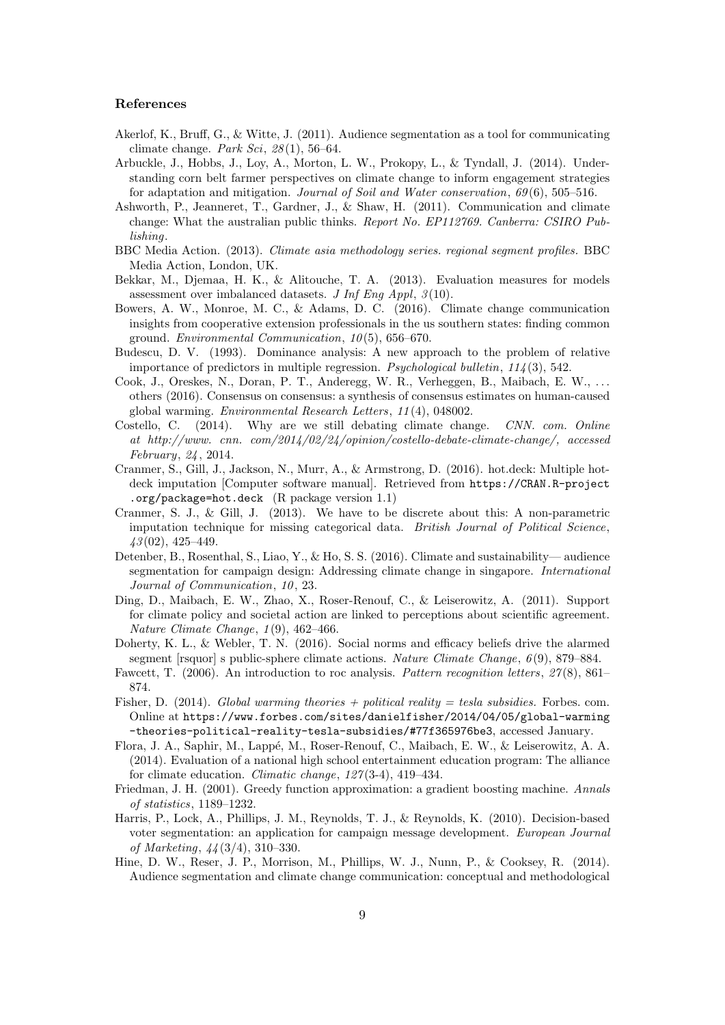### References

- Akerlof, K., Bruff, G., & Witte, J. (2011). Audience segmentation as a tool for communicating climate change. Park Sci,  $28(1)$ , 56–64.
- Arbuckle, J., Hobbs, J., Loy, A., Morton, L. W., Prokopy, L., & Tyndall, J. (2014). Understanding corn belt farmer perspectives on climate change to inform engagement strategies for adaptation and mitigation. Journal of Soil and Water conservation, 69 (6), 505–516.
- Ashworth, P., Jeanneret, T., Gardner, J., & Shaw, H. (2011). Communication and climate change: What the australian public thinks. Report No. EP112769. Canberra: CSIRO Publishing.
- BBC Media Action. (2013). Climate asia methodology series. regional segment profiles. BBC Media Action, London, UK.
- Bekkar, M., Djemaa, H. K., & Alitouche, T. A. (2013). Evaluation measures for models assessment over imbalanced datasets. J Inf Eng Appl,  $\beta(10)$ .
- Bowers, A. W., Monroe, M. C., & Adams, D. C. (2016). Climate change communication insights from cooperative extension professionals in the us southern states: finding common ground. Environmental Communication, 10 (5), 656–670.
- Budescu, D. V. (1993). Dominance analysis: A new approach to the problem of relative importance of predictors in multiple regression. Psychological bulletin,  $114(3)$ , 542.
- Cook, J., Oreskes, N., Doran, P. T., Anderegg, W. R., Verheggen, B., Maibach, E. W., . . . others (2016). Consensus on consensus: a synthesis of consensus estimates on human-caused global warming. Environmental Research Letters, 11 (4), 048002.
- Costello, C. (2014). Why are we still debating climate change. CNN. com. Online at http://www. cnn. com/2014/02/24/opinion/costello-debate-climate-change/, accessed February, 24 , 2014.
- Cranmer, S., Gill, J., Jackson, N., Murr, A., & Armstrong, D. (2016). hot.deck: Multiple hotdeck imputation [Computer software manual]. Retrieved from https://CRAN.R-project .org/package=hot.deck (R package version 1.1)
- Cranmer, S. J., & Gill, J. (2013). We have to be discrete about this: A non-parametric imputation technique for missing categorical data. British Journal of Political Science,  $43(02)$ ,  $425-449$ .
- Detenber, B., Rosenthal, S., Liao, Y., & Ho, S. S. (2016). Climate and sustainability— audience segmentation for campaign design: Addressing climate change in singapore. International Journal of Communication, 10, 23.
- Ding, D., Maibach, E. W., Zhao, X., Roser-Renouf, C., & Leiserowitz, A. (2011). Support for climate policy and societal action are linked to perceptions about scientific agreement. Nature Climate Change, 1 (9), 462–466.
- Doherty, K. L., & Webler, T. N. (2016). Social norms and efficacy beliefs drive the alarmed segment [rsquor] s public-sphere climate actions. Nature Climate Change, 6(9), 879–884.
- Fawcett, T. (2006). An introduction to roc analysis. Pattern recognition letters, 27(8), 861– 874.
- Fisher, D. (2014). Global warming theories + political reality = tesla subsidies. Forbes. com. Online at https://www.forbes.com/sites/danielfisher/2014/04/05/global-warming -theories-political-reality-tesla-subsidies/#77f365976be3, accessed January.
- Flora, J. A., Saphir, M., Lapp´e, M., Roser-Renouf, C., Maibach, E. W., & Leiserowitz, A. A. (2014). Evaluation of a national high school entertainment education program: The alliance for climate education. Climatic change, 127 (3-4), 419–434.
- Friedman, J. H. (2001). Greedy function approximation: a gradient boosting machine. Annals of statistics, 1189–1232.
- Harris, P., Lock, A., Phillips, J. M., Reynolds, T. J., & Reynolds, K. (2010). Decision-based voter segmentation: an application for campaign message development. European Journal of Marketing, 44 (3/4), 310–330.
- Hine, D. W., Reser, J. P., Morrison, M., Phillips, W. J., Nunn, P., & Cooksey, R. (2014). Audience segmentation and climate change communication: conceptual and methodological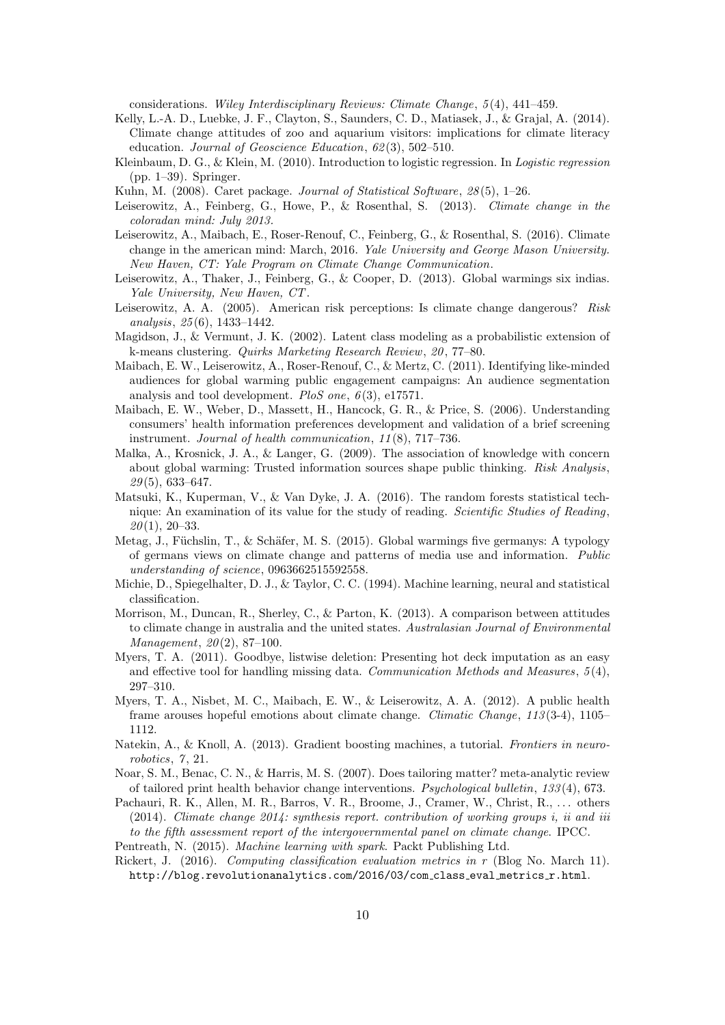considerations. Wiley Interdisciplinary Reviews: Climate Change, 5 (4), 441–459.

- Kelly, L.-A. D., Luebke, J. F., Clayton, S., Saunders, C. D., Matiasek, J., & Grajal, A. (2014). Climate change attitudes of zoo and aquarium visitors: implications for climate literacy education. Journal of Geoscience Education, 62(3), 502-510.
- Kleinbaum, D. G., & Klein, M. (2010). Introduction to logistic regression. In Logistic regression (pp. 1–39). Springer.
- Kuhn, M. (2008). Caret package. Journal of Statistical Software, 28 (5), 1–26.
- Leiserowitz, A., Feinberg, G., Howe, P., & Rosenthal, S. (2013). Climate change in the coloradan mind: July 2013.
- Leiserowitz, A., Maibach, E., Roser-Renouf, C., Feinberg, G., & Rosenthal, S. (2016). Climate change in the american mind: March, 2016. Yale University and George Mason University. New Haven, CT: Yale Program on Climate Change Communication.
- Leiserowitz, A., Thaker, J., Feinberg, G., & Cooper, D. (2013). Global warmings six indias. Yale University, New Haven, CT.
- Leiserowitz, A. A. (2005). American risk perceptions: Is climate change dangerous? Risk analysis, 25 (6), 1433–1442.
- Magidson, J., & Vermunt, J. K. (2002). Latent class modeling as a probabilistic extension of k-means clustering. Quirks Marketing Research Review, 20 , 77–80.
- Maibach, E. W., Leiserowitz, A., Roser-Renouf, C., & Mertz, C. (2011). Identifying like-minded audiences for global warming public engagement campaigns: An audience segmentation analysis and tool development. PloS one,  $6(3)$ , e17571.
- Maibach, E. W., Weber, D., Massett, H., Hancock, G. R., & Price, S. (2006). Understanding consumers' health information preferences development and validation of a brief screening instrument. Journal of health communication, 11 (8), 717–736.
- Malka, A., Krosnick, J. A., & Langer, G. (2009). The association of knowledge with concern about global warming: Trusted information sources shape public thinking. Risk Analysis,  $29(5)$ , 633–647.
- Matsuki, K., Kuperman, V., & Van Dyke, J. A. (2016). The random forests statistical technique: An examination of its value for the study of reading. Scientific Studies of Reading,  $20(1), 20-33.$
- Metag, J., Füchslin, T., & Schäfer, M. S. (2015). Global warmings five germanys: A typology of germans views on climate change and patterns of media use and information. Public understanding of science, 0963662515592558.
- Michie, D., Spiegelhalter, D. J., & Taylor, C. C. (1994). Machine learning, neural and statistical classification.
- Morrison, M., Duncan, R., Sherley, C., & Parton, K. (2013). A comparison between attitudes to climate change in australia and the united states. Australasian Journal of Environmental  $Management, 20(2), 87-100.$
- Myers, T. A. (2011). Goodbye, listwise deletion: Presenting hot deck imputation as an easy and effective tool for handling missing data. Communication Methods and Measures,  $5(4)$ , 297–310.
- Myers, T. A., Nisbet, M. C., Maibach, E. W., & Leiserowitz, A. A. (2012). A public health frame arouses hopeful emotions about climate change. Climatic Change, 113 (3-4), 1105– 1112.
- Natekin, A., & Knoll, A. (2013). Gradient boosting machines, a tutorial. Frontiers in neurorobotics, 7, 21.
- Noar, S. M., Benac, C. N., & Harris, M. S. (2007). Does tailoring matter? meta-analytic review of tailored print health behavior change interventions. Psychological bulletin, 133 (4), 673.
- Pachauri, R. K., Allen, M. R., Barros, V. R., Broome, J., Cramer, W., Christ, R., ... others (2014). Climate change 2014: synthesis report. contribution of working groups i, ii and iii to the fifth assessment report of the intergovernmental panel on climate change. IPCC.
- Pentreath, N. (2015). Machine learning with spark. Packt Publishing Ltd.
- Rickert, J. (2016). Computing classification evaluation metrics in r (Blog No. March 11). http://blog.revolutionanalytics.com/2016/03/com class eval metrics r.html.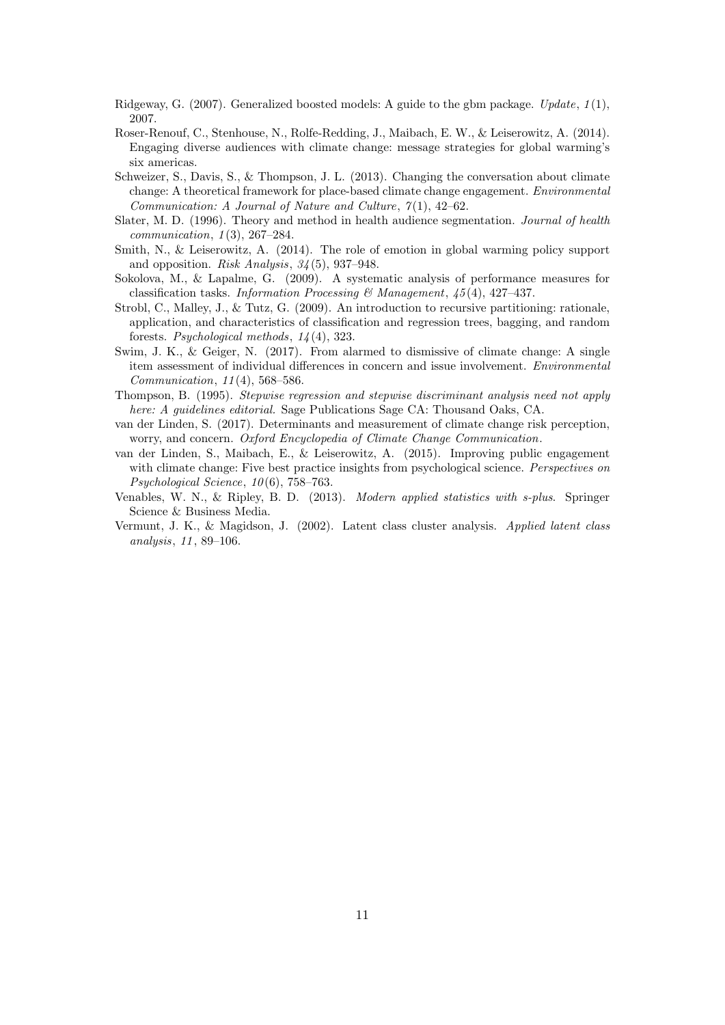- Ridgeway, G. (2007). Generalized boosted models: A guide to the gbm package. Update,  $1(1)$ , 2007.
- Roser-Renouf, C., Stenhouse, N., Rolfe-Redding, J., Maibach, E. W., & Leiserowitz, A. (2014). Engaging diverse audiences with climate change: message strategies for global warming's six americas.
- Schweizer, S., Davis, S., & Thompson, J. L. (2013). Changing the conversation about climate change: A theoretical framework for place-based climate change engagement. Environmental Communication: A Journal of Nature and Culture,  $7(1)$ , 42-62.
- Slater, M. D. (1996). Theory and method in health audience segmentation. Journal of health  $communication, 1(3), 267-284.$
- Smith, N., & Leiserowitz, A. (2014). The role of emotion in global warming policy support and opposition. Risk Analysis,  $34(5)$ , 937–948.
- Sokolova, M., & Lapalme, G. (2009). A systematic analysis of performance measures for classification tasks. Information Processing & Management,  $45(4)$ ,  $427-437$ .
- Strobl, C., Malley, J., & Tutz, G. (2009). An introduction to recursive partitioning: rationale, application, and characteristics of classification and regression trees, bagging, and random forests. Psychological methods, 14 (4), 323.
- Swim, J. K., & Geiger, N. (2017). From alarmed to dismissive of climate change: A single item assessment of individual differences in concern and issue involvement. Environmental Communication, 11 (4), 568–586.
- Thompson, B. (1995). Stepwise regression and stepwise discriminant analysis need not apply here: A quidelines editorial. Sage Publications Sage CA: Thousand Oaks, CA.
- van der Linden, S. (2017). Determinants and measurement of climate change risk perception, worry, and concern. Oxford Encyclopedia of Climate Change Communication.
- van der Linden, S., Maibach, E., & Leiserowitz, A. (2015). Improving public engagement with climate change: Five best practice insights from psychological science. Perspectives on Psychological Science,  $10(6)$ , 758–763.
- Venables, W. N., & Ripley, B. D. (2013). Modern applied statistics with s-plus. Springer Science & Business Media.
- Vermunt, J. K., & Magidson, J. (2002). Latent class cluster analysis. Applied latent class analysis, 11 , 89–106.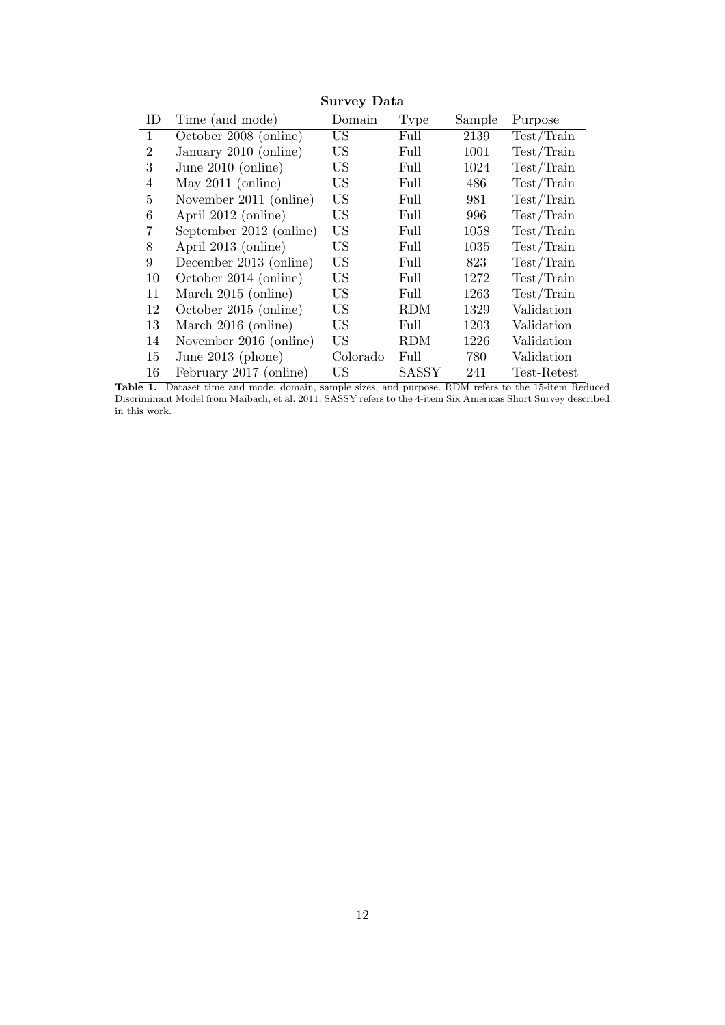|                |                         | ັ         |              |        |                              |
|----------------|-------------------------|-----------|--------------|--------|------------------------------|
| ID             | Time (and mode)         | Domain    | <b>Type</b>  | Sample | Purpose                      |
| $\mathbf{1}$   | October 2008 (online)   | <b>US</b> | Full         | 2139   | Test/Train                   |
| $\overline{2}$ | January 2010 (online)   | <b>US</b> | Full         | 1001   | Test/Train                   |
| 3              | June $2010$ (online)    | US        | Full         | 1024   | Test/Train                   |
| 4              | May $2011$ (online)     | US        | Full         | 486    | Test/Train                   |
| 5              | November 2011 (online)  | <b>US</b> | Full         | 981    | Test/Train                   |
| 6              | April 2012 (online)     | <b>US</b> | Full         | 996    | Test/Train                   |
| 7              | September 2012 (online) | <b>US</b> | Full         | 1058   | Test/Train                   |
| 8              | April 2013 (online)     | US        | Full         | 1035   | Test/Train                   |
| 9              | December 2013 (online)  | <b>US</b> | Full         | 823    | Test/Train                   |
| 10             | October 2014 (online)   | US        | Full         | 1272   | Test/Train                   |
| 11             | March 2015 (online)     | US        | Full         | 1263   | Test/Train                   |
| 12             | October 2015 (online)   | <b>US</b> | <b>RDM</b>   | 1329   | Validation                   |
| 13             | March 2016 (online)     | US        | Full         | 1203   | Validation                   |
| 14             | November 2016 (online)  | US        | <b>RDM</b>   | 1226   | Validation                   |
| 15             | June $2013$ (phone)     | Colorado  | Full         | 780    | Validation                   |
| 16             | February 2017 (online)  | US        | <b>SASSY</b> | 241    | $\operatorname{Test-Retest}$ |

Survey Data

Table 1. Dataset time and mode, domain, sample sizes, and purpose. RDM refers to the 15-item Reduced Discriminant Model from Maibach, et al. 2011. SASSY refers to the 4-item Six Americas Short Survey described in this work.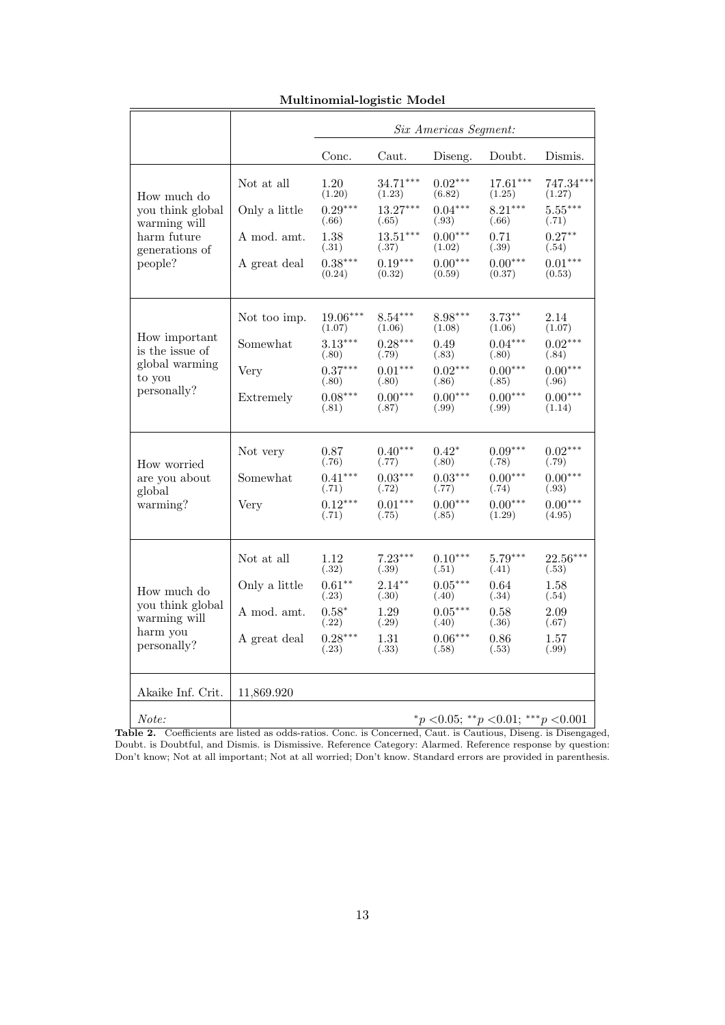|                                                             |               |                      |                     | Six Americas Segment: |                                     |                     |
|-------------------------------------------------------------|---------------|----------------------|---------------------|-----------------------|-------------------------------------|---------------------|
|                                                             |               | Conc.                | Caut.               | Diseng.               | Doubt.                              | Dismis.             |
| How much do                                                 | Not at all    | 1.20<br>(1.20)       | 34.71***<br>(1.23)  | $0.02***$<br>(6.82)   | $17.61***$<br>(1.25)                | 747.34***<br>(1.27) |
| you think global<br>warming will                            | Only a little | $0.29***$<br>(.66)   | $13.27***$<br>(.65) | $0.04***$<br>(.93)    | $8.21***$<br>(.66)                  | $5.55***$<br>(.71)  |
| harm future<br>generations of                               | A mod. amt.   | 1.38<br>(.31)        | $13.51***$<br>(.37) | $0.00***$<br>(1.02)   | 0.71<br>(.39)                       | $0.27**$<br>(.54)   |
| people?                                                     | A great deal  | $0.38***$<br>(0.24)  | $0.19***$<br>(0.32) | $0.00***$<br>(0.59)   | $0.00***$<br>(0.37)                 | $0.01***$<br>(0.53) |
|                                                             | Not too imp.  | $19.06***$<br>(1.07) | $8.54***$<br>(1.06) | 8.98***<br>(1.08)     | $3.73**$<br>(1.06)                  | 2.14<br>(1.07)      |
| How important<br>is the issue of                            | Somewhat      | $3.13***$<br>(.80)   | $0.28***$<br>(.79)  | 0.49<br>(.83)         | $0.04***$<br>(.80)                  | $0.02***$<br>(.84)  |
| global warming<br>to you                                    | Very          | $0.37***$<br>(.80)   | $0.01***$<br>(.80)  | $0.02***$<br>(.86)    | $0.00***$<br>(.85)                  | $0.00***$<br>(.96)  |
| personally?                                                 | Extremely     | $0.08***$<br>(.81)   | $0.00***$<br>(.87)  | $0.00***$<br>(.99)    | $0.00***$<br>(.99)                  | $0.00***$<br>(1.14) |
| How worried                                                 | Not very      | 0.87<br>(.76)        | $0.40***$<br>(.77)  | $0.42*$<br>(.80)      | $0.09***$<br>(.78)                  | $0.02***$<br>(.79)  |
| are you about<br>global                                     | Somewhat      | $0.41***$<br>(.71)   | $0.03***$<br>(.72)  | $0.03***$<br>(.77)    | $0.00***$<br>(.74)                  | $0.00***$<br>(.93)  |
| warming?                                                    | Very          | $0.12***$<br>(.71)   | $0.01***$<br>(.75)  | $0.00***$<br>(.85)    | $0.00***$<br>(1.29)                 | $0.00***$<br>(4.95) |
|                                                             | Not at all    | 1.12<br>(.32)        | $7.23***$<br>(.39)  | $0.10***$<br>(.51)    | $5.79***$<br>(.41)                  | $22.56***$<br>(.53) |
| How much do                                                 | Only a little | $0.61**$<br>(.23)    | $2.14***$<br>(.30)  | $0.05***$<br>(.40)    | 0.64<br>(.34)                       | 1.58<br>(.54)       |
| you think global<br>warming will<br>harm you<br>personally? | A mod. amt.   | $0.58*$<br>(.22)     | 1.29<br>(.29)       | $0.05***$<br>(.40)    | 0.58<br>(.36)                       | 2.09<br>(.67)       |
|                                                             | A great deal  | $0.28***$<br>(.23)   | 1.31<br>(.33)       | $0.06***$<br>(.58)    | 0.86<br>(.53)                       | 1.57<br>(.99)       |
| Akaike Inf. Crit.                                           | 11,869.920    |                      |                     |                       |                                     |                     |
| Note:                                                       |               |                      |                     |                       | *p < 0.05; **p < 0.01; ***p < 0.001 |                     |

# Multinomial-logistic Model

Table 2. Coefficients are listed as odds-ratios. Conc. is Concerned, Caut. is Cautious, Diseng. is Disengaged, Doubt. is Doubtful, and Dismis. is Dismissive. Reference Category: Alarmed. Reference response by question: Don't know; Not at all important; Not at all worried; Don't know. Standard errors are provided in parenthesis.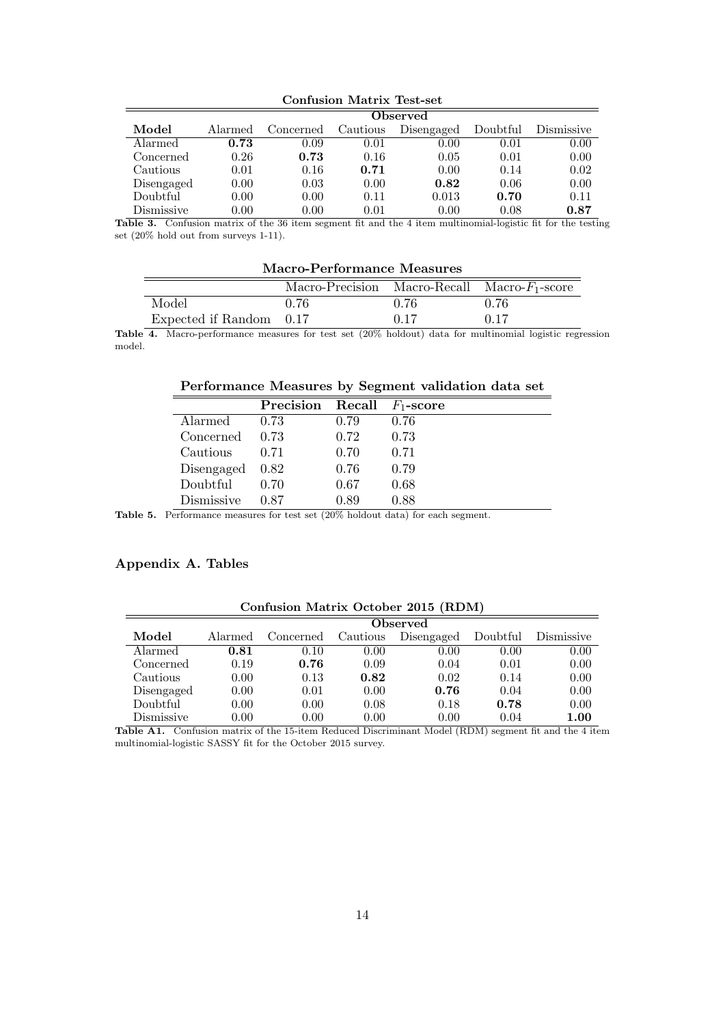|            | <b>Observed</b> |           |          |            |          |            |  |
|------------|-----------------|-----------|----------|------------|----------|------------|--|
| Model      | Alarmed         | Concerned | Cautious | Disengaged | Doubtful | Dismissive |  |
| Alarmed    | 0.73            | 0.09      | 0.01     | 0.00       | 0.01     | 0.00       |  |
| Concerned  | 0.26            | 0.73      | 0.16     | 0.05       | 0.01     | 0.00       |  |
| Cautious   | 0.01            | 0.16      | 0.71     | 0.00       | 0.14     | 0.02       |  |
| Disengaged | 0.00            | 0.03      | 0.00     | 0.82       | 0.06     | 0.00       |  |
| Doubtful   | 0.00            | 0.00      | 0.11     | 0.013      | 0.70     | 0.11       |  |
| Dismissive | $0.00\,$        | $0.00\,$  | 0.01     | 0.00       | 0.08     | 0.87       |  |

Confusion Matrix Test-set

Table 3. Confusion matrix of the 36 item segment fit and the 4 item multinomial-logistic fit for the testing set (20% hold out from surveys 1-11).

| Macro-Performance Measures                       |      |      |      |  |  |  |
|--------------------------------------------------|------|------|------|--|--|--|
| Macro-Precision Macro-Recall Macro- $F_1$ -score |      |      |      |  |  |  |
| Model                                            | 0.76 | 0.76 | 0.76 |  |  |  |
| Expected if Random 0.17                          |      | 0.17 | 0.17 |  |  |  |

Table 4. Macro-performance measures for test set  $(20\% \text{ holdout})$  data for multinomial logistic regression model.

# Performance Measures by Segment validation data set

|                         | <b>Precision</b> Recall $F_1$ -score |      |      |
|-------------------------|--------------------------------------|------|------|
| Alarmed                 | 0.73                                 | 0.79 | 0.76 |
| Concerned               | 0.73                                 | 0.72 | 0.73 |
| Cautious                | 0.71                                 | 0.70 | 0.71 |
| $Disengaged \quad 0.82$ |                                      | 0.76 | 0.79 |
| Doubtful                | 0.70                                 | 0.67 | 0.68 |
| Dismissive              | 0.87                                 | 0.89 | 0.88 |

Table 5. Performance measures for test set  $(20\%$  holdout data) for each segment.

### Appendix A. Tables

|            |         | <u> communications in coccoci solo</u> |          |            |          |            |  |  |  |
|------------|---------|----------------------------------------|----------|------------|----------|------------|--|--|--|
|            |         | <b>Observed</b>                        |          |            |          |            |  |  |  |
| Model      | Alarmed | Concerned                              | Cautious | Disengaged | Doubtful | Dismissive |  |  |  |
| Alarmed    | 0.81    | 0.10                                   | 0.00     | 0.00       | 0.00     | 0.00       |  |  |  |
| Concerned  | 0.19    | 0.76                                   | 0.09     | 0.04       | 0.01     | 0.00       |  |  |  |
| Cautious   | 0.00    | 0.13                                   | 0.82     | 0.02       | 0.14     | 0.00       |  |  |  |
| Disengaged | 0.00    | 0.01                                   | 0.00     | 0.76       | 0.04     | 0.00       |  |  |  |
| Doubtful   | 0.00    | 0.00                                   | 0.08     | 0.18       | 0.78     | 0.00       |  |  |  |
| Dismissive | 0.00    | 0.00                                   | 0.00     | 0.00       | 0.04     | $1.00\,$   |  |  |  |

# Confusion Matrix October 2015 (RDM)

Table A1. Confusion matrix of the 15-item Reduced Discriminant Model (RDM) segment fit and the 4 item multinomial-logistic SASSY fit for the October 2015 survey.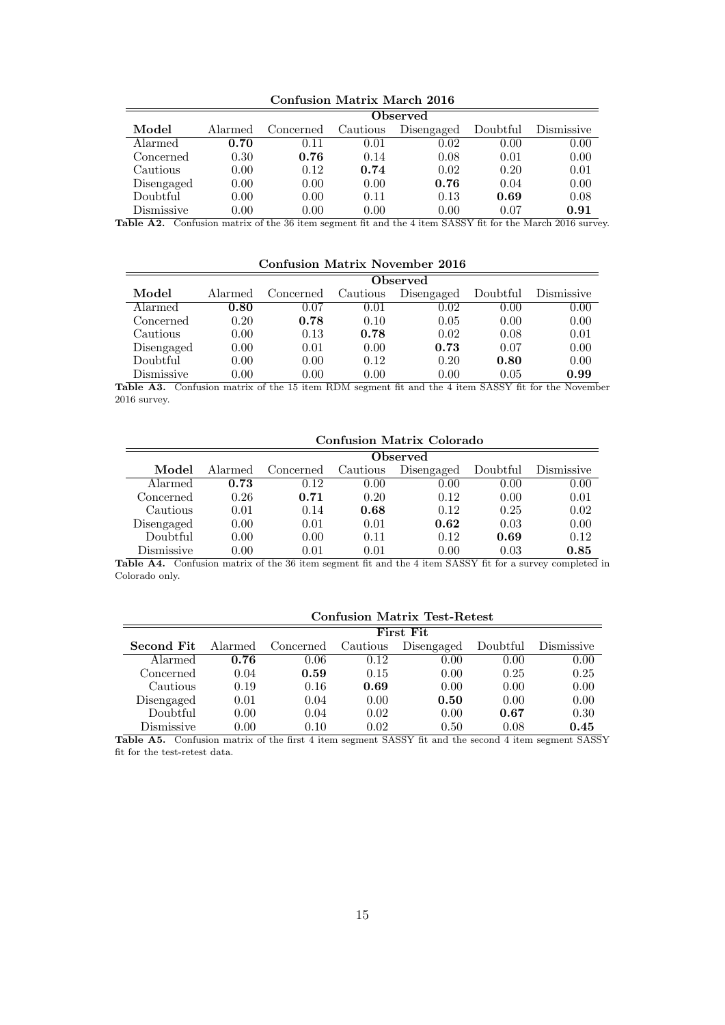|            | Observed |           |          |            |          |            |  |
|------------|----------|-----------|----------|------------|----------|------------|--|
| Model      | Alarmed  | Concerned | Cautious | Disengaged | Doubtful | Dismissive |  |
| Alarmed    | 0.70     | 0.11      | 0.01     | $0.02\,$   | 0.00     | 0.00       |  |
| Concerned  | 0.30     | 0.76      | 0.14     | 0.08       | 0.01     | 0.00       |  |
| Cautious   | 0.00     | 0.12      | 0.74     | 0.02       | 0.20     | 0.01       |  |
| Disengaged | 0.00     | 0.00      | 0.00     | 0.76       | 0.04     | 0.00       |  |
| Doubtful   | 0.00     | 0.00      | 0.11     | 0.13       | 0.69     | 0.08       |  |
| Dismissive | $0.00\,$ | 0.00      | 0.00     | 0.00       | 0.07     | 0.91       |  |

Confusion Matrix March 2016

Table A2. Confusion matrix of the 36 item segment fit and the 4 item SASSY fit for the March 2016 survey.

# Confusion Matrix November 2016

|            |         | <b>Observed</b> |          |            |          |            |  |  |
|------------|---------|-----------------|----------|------------|----------|------------|--|--|
| Model      | Alarmed | Concerned       | Cautious | Disengaged | Doubtful | Dismissive |  |  |
| Alarmed    | 0.80    | 0.07            | 0.01     | 0.02       | 0.00     | 0.00       |  |  |
| Concerned  | 0.20    | 0.78            | 0.10     | 0.05       | 0.00     | 0.00       |  |  |
| Cautious   | 0.00    | 0.13            | 0.78     | 0.02       | 0.08     | 0.01       |  |  |
| Disengaged | 0.00    | 0.01            | 0.00     | 0.73       | 0.07     | 0.00       |  |  |
| Doubtful   | 0.00    | 0.00            | 0.12     | 0.20       | 0.80     | 0.00       |  |  |
| Dismissive | 0.00    | 0.00            | 0.00     | 0.00       | 0.05     | 0.99       |  |  |

Table A3. Confusion matrix of the 15 item RDM segment fit and the 4 item SASSY fit for the November 2016 survey.

Confusion Matrix Colorado

|            | Observed |           |          |            |          |            |  |  |
|------------|----------|-----------|----------|------------|----------|------------|--|--|
| Model      | Alarmed  | Concerned | Cautious | Disengaged | Doubtful | Dismissive |  |  |
| Alarmed    | 0.73     | 0.12      | 0.00     | 0.00       | 0.00     | 0.00       |  |  |
| Concerned  | 0.26     | 0.71      | 0.20     | 0.12       | 0.00     | 0.01       |  |  |
| Cautious   | 0.01     | 0.14      | 0.68     | 0.12       | 0.25     | 0.02       |  |  |
| Disengaged | 0.00     | 0.01      | 0.01     | 0.62       | 0.03     | 0.00       |  |  |
| Doubtful   | 0.00     | 0.00      | 0.11     | 0.12       | 0.69     | 0.12       |  |  |
| Dismissive | 0.00     | 0.01      | 0.01     | 0.00       | 0.03     | 0.85       |  |  |

Table A4. Confusion matrix of the 36 item segment fit and the 4 item SASSY fit for a survey completed in Colorado only.

| <b>Confusion Matrix Test-Retest</b> |         |            |          |            |          |            |  |  |  |
|-------------------------------------|---------|------------|----------|------------|----------|------------|--|--|--|
|                                     |         | First Fit. |          |            |          |            |  |  |  |
| Second Fit.                         | Alarmed | Concerned  | Cautious | Disengaged | Doubtful | Dismissive |  |  |  |
| Alarmed                             | 0.76    | 0.06       | 0.12     | 0.00       | 0.00     | 0.00       |  |  |  |
| Concerned                           | 0.04    | 0.59       | 0.15     | 0.00       | 0.25     | 0.25       |  |  |  |
| Cautious                            | 0.19    | 0.16       | 0.69     | 0.00       | 0.00     | 0.00       |  |  |  |
| Disengaged                          | 0.01    | 0.04       | 0.00     | 0.50       | 0.00     | 0.00       |  |  |  |
| Doubtful                            | 0.00    | 0.04       | 0.02     | 0.00       | 0.67     | 0.30       |  |  |  |
| Dismissive                          | 0.00    | 0.10       | 0.02     | 0.50       | 0.08     | 0.45       |  |  |  |

Table A5. Confusion matrix of the first 4 item segment SASSY fit and the second 4 item segment SASSY fit for the test-retest data.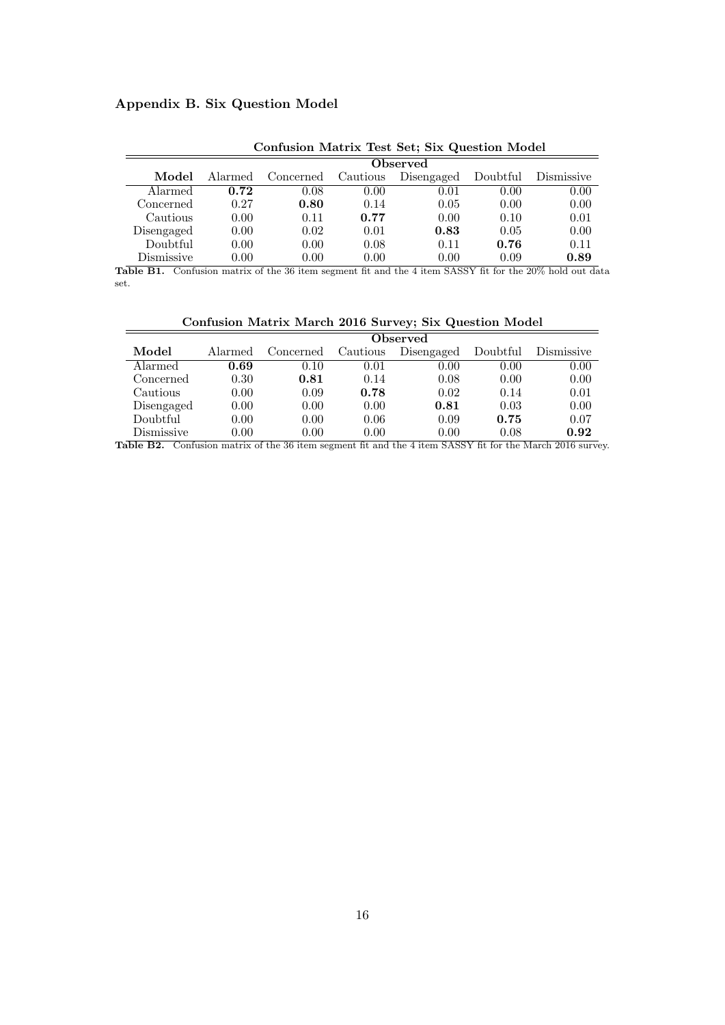# Appendix B. Six Question Model

|            | $\sim$ 0.111 $\sim$ 0.12 $\sim$ 1.100 $\sim$ 1.12 $\sim$ 0.000 $\sim$ 0.000 $\sim$ 0.000 $\sim$ 0.000 $\sim$ 0.000 $\sim$ 0.000 $\sim$ |           |          |            |          |            |  |  |  |  |
|------------|----------------------------------------------------------------------------------------------------------------------------------------|-----------|----------|------------|----------|------------|--|--|--|--|
|            |                                                                                                                                        | Observed  |          |            |          |            |  |  |  |  |
| Model      | Alarmed                                                                                                                                | Concerned | Cautious | Disengaged | Doubtful | Dismissive |  |  |  |  |
| Alarmed    | 0.72                                                                                                                                   | 0.08      | 0.00     | 0.01       | 0.00     | 0.00       |  |  |  |  |
| Concerned  | 0.27                                                                                                                                   | 0.80      | 0.14     | 0.05       | 0.00     | 0.00       |  |  |  |  |
| Cautious   | 0.00                                                                                                                                   | 0.11      | 0.77     | 0.00       | 0.10     | 0.01       |  |  |  |  |
| Disengaged | 0.00                                                                                                                                   | 0.02      | 0.01     | 0.83       | 0.05     | 0.00       |  |  |  |  |
| Doubtful   | 0.00                                                                                                                                   | 0.00      | 0.08     | 0.11       | 0.76     | 0.11       |  |  |  |  |
| Dismissive | $0.00\,$                                                                                                                               | 0.00      | 0.00     | 0.00       | 0.09     | 0.89       |  |  |  |  |

Confusion Matrix Test Set; Six Question Model

Table B1. Confusion matrix of the 36 item segment fit and the 4 item SASSY fit for the 20% hold out data set.

| Confusion Matrix March 2016 Survey; Six Question Model |  |  |  |  |  |  |
|--------------------------------------------------------|--|--|--|--|--|--|
|--------------------------------------------------------|--|--|--|--|--|--|

|            |         | Observed  |          |            |          |            |  |  |  |  |  |
|------------|---------|-----------|----------|------------|----------|------------|--|--|--|--|--|
| Model      | Alarmed | Concerned | Cautious | Disengaged | Doubtful | Dismissive |  |  |  |  |  |
| Alarmed    | 0.69    | 0.10      | 0.01     | 0.00       | 0.00     | 0.00       |  |  |  |  |  |
| Concerned  | 0.30    | 0.81      | 0.14     | 0.08       | 0.00     | 0.00       |  |  |  |  |  |
| Cautious   | 0.00    | 0.09      | 0.78     | 0.02       | 0.14     | 0.01       |  |  |  |  |  |
| Disengaged | 0.00    | 0.00      | 0.00     | 0.81       | 0.03     | 0.00       |  |  |  |  |  |
| Doubtful   | 0.00    | 0.00      | 0.06     | 0.09       | 0.75     | 0.07       |  |  |  |  |  |
| Dismissive | 0.00    | 0.00      | 0.00     | 0.00       | 0.08     | 0.92       |  |  |  |  |  |

Table B2. Confusion matrix of the 36 item segment fit and the 4 item SASSY fit for the March 2016 survey.